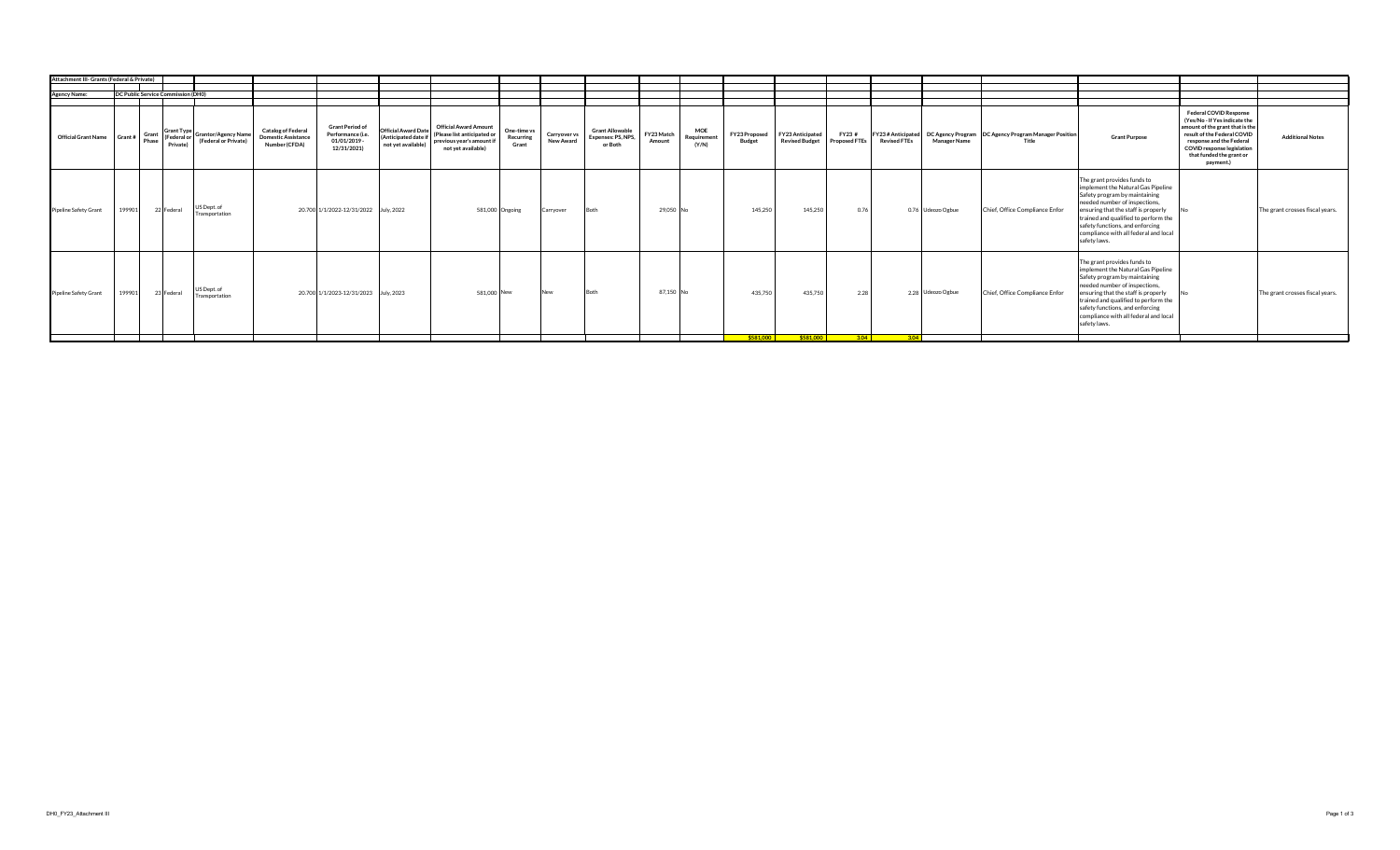| Attachment III- Grants (Federal & Private) |        |                                           |                                                                              |                                                                          |                                                                          |                                                                          |                                                                                                                |                                   |                           |                                                         |                      |                                    |                         |                                           |                               |                                          |                     |                                                               |                                                                                                                                                                                                                                                                                                                |                                                                                                                                                                                                                                            |                                 |
|--------------------------------------------|--------|-------------------------------------------|------------------------------------------------------------------------------|--------------------------------------------------------------------------|--------------------------------------------------------------------------|--------------------------------------------------------------------------|----------------------------------------------------------------------------------------------------------------|-----------------------------------|---------------------------|---------------------------------------------------------|----------------------|------------------------------------|-------------------------|-------------------------------------------|-------------------------------|------------------------------------------|---------------------|---------------------------------------------------------------|----------------------------------------------------------------------------------------------------------------------------------------------------------------------------------------------------------------------------------------------------------------------------------------------------------------|--------------------------------------------------------------------------------------------------------------------------------------------------------------------------------------------------------------------------------------------|---------------------------------|
|                                            |        |                                           |                                                                              |                                                                          |                                                                          |                                                                          |                                                                                                                |                                   |                           |                                                         |                      |                                    |                         |                                           |                               |                                          |                     |                                                               |                                                                                                                                                                                                                                                                                                                |                                                                                                                                                                                                                                            |                                 |
| <b>Agency Name:</b>                        |        | <b>DC Public Service Commission (DH0)</b> |                                                                              |                                                                          |                                                                          |                                                                          |                                                                                                                |                                   |                           |                                                         |                      |                                    |                         |                                           |                               |                                          |                     |                                                               |                                                                                                                                                                                                                                                                                                                |                                                                                                                                                                                                                                            |                                 |
|                                            |        |                                           |                                                                              |                                                                          |                                                                          |                                                                          |                                                                                                                |                                   |                           |                                                         |                      |                                    |                         |                                           |                               |                                          |                     |                                                               |                                                                                                                                                                                                                                                                                                                |                                                                                                                                                                                                                                            |                                 |
| Official Grant Name Grant #                |        | Private)                                  | $\mathcal{F}$ Grant $\left  \begin{array}{c}$ Grant Type Grantor/Agency Name | <b>Catalog of Federal</b><br><b>Domestic Assistance</b><br>Number (CFDA) | <b>Grant Period of</b><br>Performance (i.e.<br>01/01/2019<br>12/31/2021) | <b>Official Award Date</b><br>(Anticipated date if<br>not yet available) | <b>Official Award Amount</b><br>(Please list anticipated or<br>previous year's amount if<br>not yet available) | One-time vs<br>Recurring<br>Grant | Carryover vs<br>New Award | <b>Grant Allowable</b><br>Expenses: PS, NPS,<br>or Both | FY23 Match<br>Amount | <b>MOE</b><br>Requirement<br>(Y/N) | FY23 Proposed<br>Budget | FY23 Anticipated<br><b>Revised Budget</b> | FY23#<br><b>Proposed FTEs</b> | FY23# Anticipated<br><b>Revised FTEs</b> | <b>Manager Name</b> | DC Agency Program DC Agency Program Manager Position<br>Title | <b>Grant Purpose</b>                                                                                                                                                                                                                                                                                           | <b>Federal COVID Response</b><br>(Yes/No - If Yes indicate the<br>amount of the grant that is the<br>result of the Federal COVID<br>response and the Federal<br><b>COVID response legislation</b><br>that funded the grant or<br>payment.) | <b>Additional Notes</b>         |
| Pipeline Safety Grant                      | 199901 | 22 Federal                                | JS Dept. of<br>Transportation                                                |                                                                          | 20.700 1/1/2022-12/31/2022 July, 2022                                    |                                                                          |                                                                                                                | 581,000 Ongoing                   | Carryover                 | Both                                                    | 29.050 No            |                                    | 145,250                 | 145,250                                   | 0.76                          |                                          | 0.76 Udeozo Ogbue   | Chief, Office Compliance Enfor                                | The grant provides funds to<br>implement the Natural Gas Pipeline<br>Safety program by maintaining<br>needed number of inspections.<br>ensuring that the staff is properly<br>trained and qualified to perform the<br>safety functions, and enforcing<br>compliance with all federal and local<br>safety laws. |                                                                                                                                                                                                                                            | The grant crosses fiscal years. |
| <b>Pipeline Safety Grant</b>               | 199901 | 23 Federal                                | US Dept. of<br>Transportation                                                |                                                                          | 20.700 1/1/2023-12/31/2023 July, 2023                                    |                                                                          | 581,000 New                                                                                                    |                                   | New                       | <b>Both</b>                                             | 87,150 No            |                                    | 435,750                 | 435,750                                   | 2.28                          |                                          | 2.28 Udeozo Ogbue   | Chief, Office Compliance Enfor                                | The grant provides funds to<br>implement the Natural Gas Pipeline<br>Safety program by maintaining<br>needed number of inspections.<br>ensuring that the staff is properly<br>trained and qualified to perform the<br>safety functions, and enforcing<br>compliance with all federal and local<br>safety laws. |                                                                                                                                                                                                                                            | The grant crosses fiscal years. |
|                                            |        |                                           |                                                                              |                                                                          |                                                                          |                                                                          |                                                                                                                |                                   |                           |                                                         |                      |                                    |                         |                                           |                               | $$581,000$ $$581,000$ $$3.04$ $$3.04$    |                     |                                                               |                                                                                                                                                                                                                                                                                                                |                                                                                                                                                                                                                                            |                                 |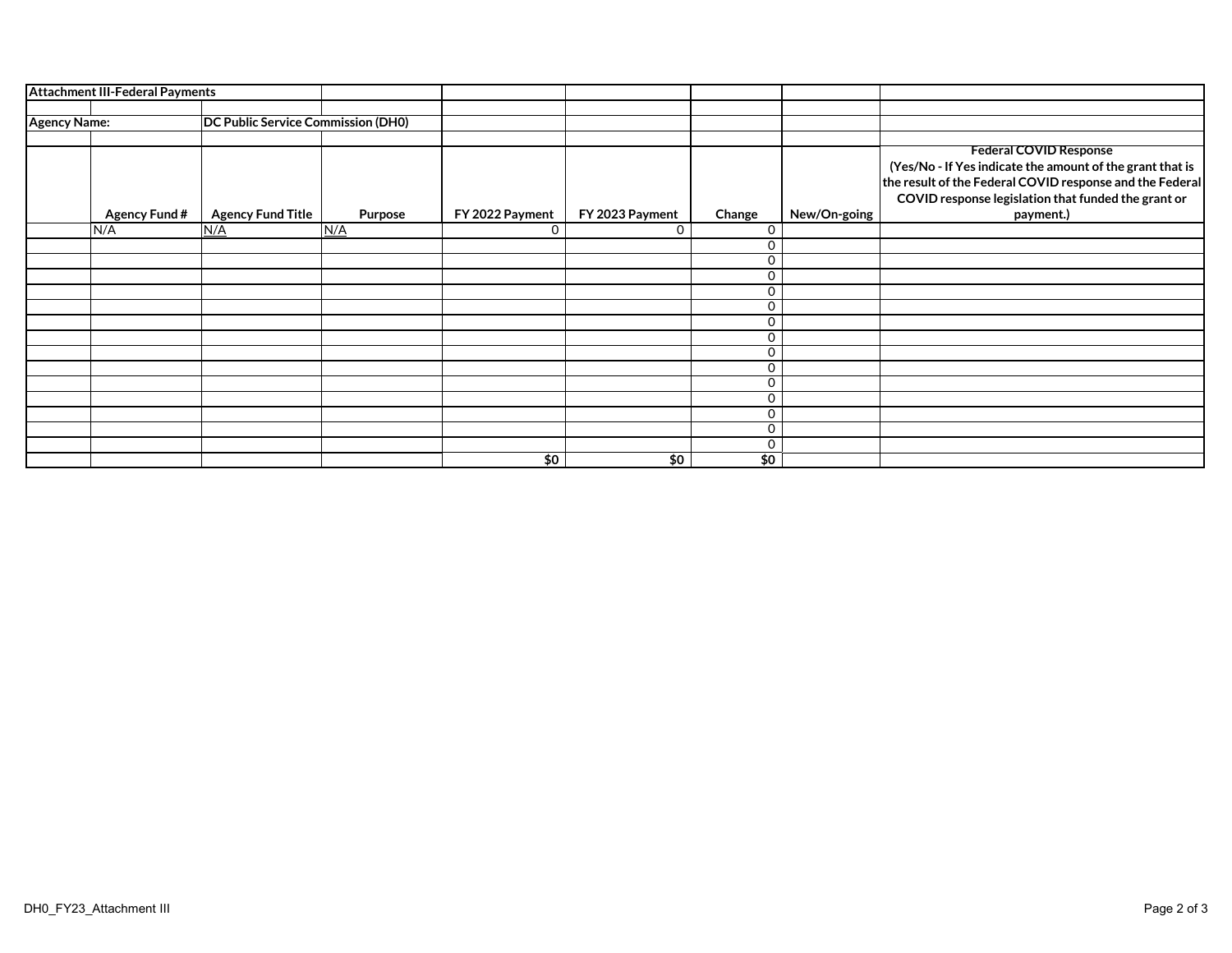|                     | <b>Attachment III-Federal Payments</b> |                                    |         |                 |                 |             |              |                                                           |
|---------------------|----------------------------------------|------------------------------------|---------|-----------------|-----------------|-------------|--------------|-----------------------------------------------------------|
|                     |                                        |                                    |         |                 |                 |             |              |                                                           |
| <b>Agency Name:</b> |                                        | DC Public Service Commission (DH0) |         |                 |                 |             |              |                                                           |
|                     |                                        |                                    |         |                 |                 |             |              |                                                           |
|                     |                                        |                                    |         |                 |                 |             |              | <b>Federal COVID Response</b>                             |
|                     |                                        |                                    |         |                 |                 |             |              | (Yes/No - If Yes indicate the amount of the grant that is |
|                     |                                        |                                    |         |                 |                 |             |              | the result of the Federal COVID response and the Federal  |
|                     |                                        |                                    |         |                 |                 |             |              | COVID response legislation that funded the grant or       |
|                     | <b>Agency Fund #</b>                   | <b>Agency Fund Title</b>           | Purpose | FY 2022 Payment | FY 2023 Payment | Change      | New/On-going | payment.)                                                 |
|                     | N/A                                    | N/A                                | N/A     | $\Omega$        | 0               | $\Omega$    |              |                                                           |
|                     |                                        |                                    |         |                 |                 | 0           |              |                                                           |
|                     |                                        |                                    |         |                 |                 | 0           |              |                                                           |
|                     |                                        |                                    |         |                 |                 | $\Omega$    |              |                                                           |
|                     |                                        |                                    |         |                 |                 | $\Omega$    |              |                                                           |
|                     |                                        |                                    |         |                 |                 | 0           |              |                                                           |
|                     |                                        |                                    |         |                 |                 | 0           |              |                                                           |
|                     |                                        |                                    |         |                 |                 | $\Omega$    |              |                                                           |
|                     |                                        |                                    |         |                 |                 | $\mathbf 0$ |              |                                                           |
|                     |                                        |                                    |         |                 |                 | 0           |              |                                                           |
|                     |                                        |                                    |         |                 |                 | $\mathbf 0$ |              |                                                           |
|                     |                                        |                                    |         |                 |                 | 0           |              |                                                           |
|                     |                                        |                                    |         |                 |                 | $\mathbf 0$ |              |                                                           |
|                     |                                        |                                    |         |                 |                 | $\mathbf 0$ |              |                                                           |
|                     |                                        |                                    |         |                 |                 | $\mathbf 0$ |              |                                                           |
|                     |                                        |                                    |         | \$0             | \$0             | \$0         |              |                                                           |